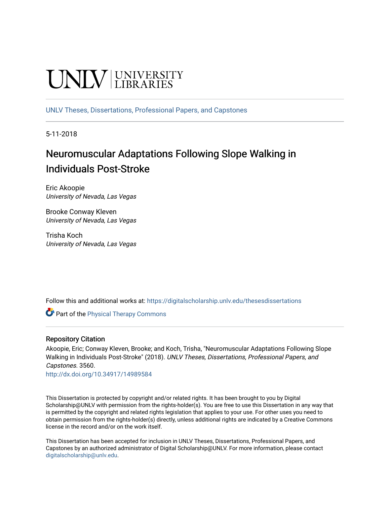# UNIV UNIVERSITY

[UNLV Theses, Dissertations, Professional Papers, and Capstones](https://digitalscholarship.unlv.edu/thesesdissertations)

5-11-2018

# Neuromuscular Adaptations Following Slope Walking in Individuals Post-Stroke

Eric Akoopie University of Nevada, Las Vegas

Brooke Conway Kleven University of Nevada, Las Vegas

Trisha Koch University of Nevada, Las Vegas

Follow this and additional works at: [https://digitalscholarship.unlv.edu/thesesdissertations](https://digitalscholarship.unlv.edu/thesesdissertations?utm_source=digitalscholarship.unlv.edu%2Fthesesdissertations%2F3560&utm_medium=PDF&utm_campaign=PDFCoverPages)

**Part of the [Physical Therapy Commons](http://network.bepress.com/hgg/discipline/754?utm_source=digitalscholarship.unlv.edu%2Fthesesdissertations%2F3560&utm_medium=PDF&utm_campaign=PDFCoverPages)** 

# Repository Citation

Akoopie, Eric; Conway Kleven, Brooke; and Koch, Trisha, "Neuromuscular Adaptations Following Slope Walking in Individuals Post-Stroke" (2018). UNLV Theses, Dissertations, Professional Papers, and Capstones. 3560.

<http://dx.doi.org/10.34917/14989584>

This Dissertation is protected by copyright and/or related rights. It has been brought to you by Digital Scholarship@UNLV with permission from the rights-holder(s). You are free to use this Dissertation in any way that is permitted by the copyright and related rights legislation that applies to your use. For other uses you need to obtain permission from the rights-holder(s) directly, unless additional rights are indicated by a Creative Commons license in the record and/or on the work itself.

This Dissertation has been accepted for inclusion in UNLV Theses, Dissertations, Professional Papers, and Capstones by an authorized administrator of Digital Scholarship@UNLV. For more information, please contact [digitalscholarship@unlv.edu](mailto:digitalscholarship@unlv.edu).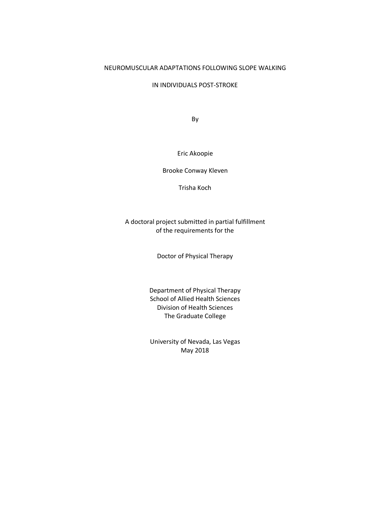#### NEUROMUSCULAR ADAPTATIONS FOLLOWING SLOPE WALKING

IN INDIVIDUALS POST-STROKE

By

#### Eric Akoopie

Brooke Conway Kleven

Trisha Koch

# A doctoral project submitted in partial fulfillment of the requirements for the

Doctor of Physical Therapy

Department of Physical Therapy School of Allied Health Sciences Division of Health Sciences The Graduate College

University of Nevada, Las Vegas May 2018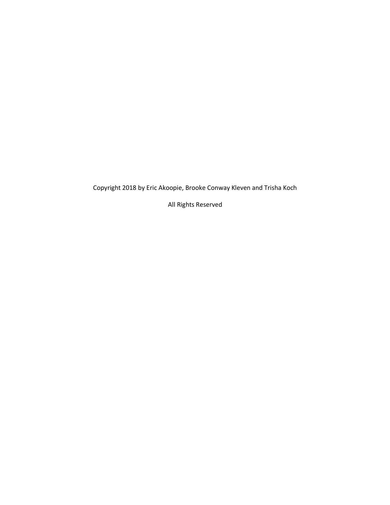Copyright 2018 by Eric Akoopie, Brooke Conway Kleven and Trisha Koch

All Rights Reserved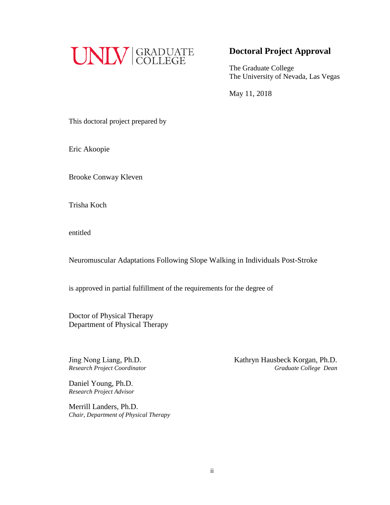

# **Doctoral Project Approval**

The Graduate College The University of Nevada, Las Vegas

May 11, 2018

This doctoral project prepared by

Eric Akoopie

Brooke Conway Kleven

Trisha Koch

entitled

Neuromuscular Adaptations Following Slope Walking in Individuals Post-Stroke

is approved in partial fulfillment of the requirements for the degree of

Doctor of Physical Therapy Department of Physical Therapy

Jing Nong Liang, Ph.D. *Research Project Coordinator*  Kathryn Hausbeck Korgan, Ph.D.  *Graduate College Dean* 

Daniel Young, Ph.D. *Research Project Advisor* 

Merrill Landers, Ph.D. *Chair, Department of Physical Therapy*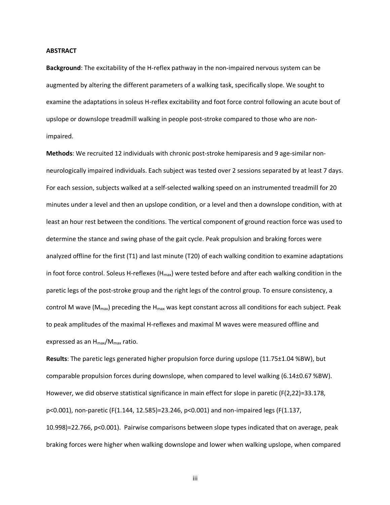#### **ABSTRACT**

**Background**: The excitability of the H-reflex pathway in the non-impaired nervous system can be augmented by altering the different parameters of a walking task, specifically slope. We sought to examine the adaptations in soleus H-reflex excitability and foot force control following an acute bout of upslope or downslope treadmill walking in people post-stroke compared to those who are nonimpaired.

**Methods**: We recruited 12 individuals with chronic post-stroke hemiparesis and 9 age-similar nonneurologically impaired individuals. Each subject was tested over 2 sessions separated by at least 7 days. For each session, subjects walked at a self-selected walking speed on an instrumented treadmill for 20 minutes under a level and then an upslope condition, or a level and then a downslope condition, with at least an hour rest between the conditions. The vertical component of ground reaction force was used to determine the stance and swing phase of the gait cycle. Peak propulsion and braking forces were analyzed offline for the first (T1) and last minute (T20) of each walking condition to examine adaptations in foot force control. Soleus H-reflexes (H<sub>max</sub>) were tested before and after each walking condition in the paretic legs of the post-stroke group and the right legs of the control group. To ensure consistency, a control M wave ( $M_{\text{max}}$ ) preceding the H<sub>max</sub> was kept constant across all conditions for each subject. Peak to peak amplitudes of the maximal H-reflexes and maximal M waves were measured offline and expressed as an H<sub>max</sub>/M<sub>max</sub> ratio.

**Results**: The paretic legs generated higher propulsion force during upslope (11.75±1.04 %BW), but comparable propulsion forces during downslope, when compared to level walking (6.14±0.67 %BW). However, we did observe statistical significance in main effect for slope in paretic (F(2,22)=33.178, p<0.001), non-paretic (F(1.144, 12.585)=23.246, p<0.001) and non-impaired legs (F(1.137, 10.998)=22.766, p<0.001). Pairwise comparisons between slope types indicated that on average, peak braking forces were higher when walking downslope and lower when walking upslope, when compared

iii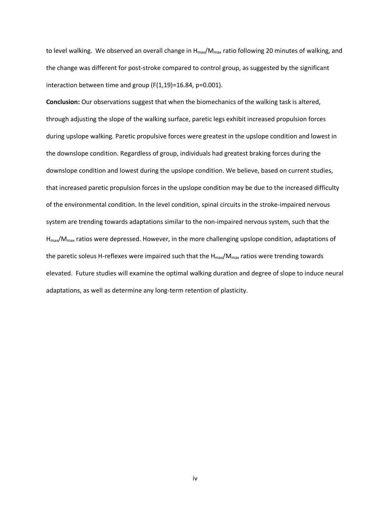to level walking. We observed an overall change in  $H_{max}/M_{max}$  ratio following 20 minutes of walking, and the change was different for post-stroke compared to control group, as suggested by the significant interaction between time and group (F(1,19)=16.84, p=0.001).

**Conclusion:** Our observations suggest that when the biomechanics of the walking task is altered, through adjusting the slope of the walking surface, paretic legs exhibit increased propulsion forces during upslope walking. Paretic propulsive forces were greatest in the upslope condition and lowest in the downslope condition. Regardless of group, individuals had greatest braking forces during the downslope condition and lowest during the upslope condition. We believe, based on current studies, that increased paretic propulsion forces in the upslope condition may be due to the increased difficulty of the environmental condition. In the level condition, spinal circuits in the stroke-impaired nervous system are trending towards adaptations similar to the non-impaired nervous system, such that the  $H_{\text{max}}/M_{\text{max}}$  ratios were depressed. However, in the more challenging upslope condition, adaptations of the paretic soleus H-reflexes were impaired such that the  $H_{\text{max}}/M_{\text{max}}$  ratios were trending towards elevated. Future studies will examine the optimal walking duration and degree of slope to induce neural adaptations, as well as determine any long-term retention of plasticity.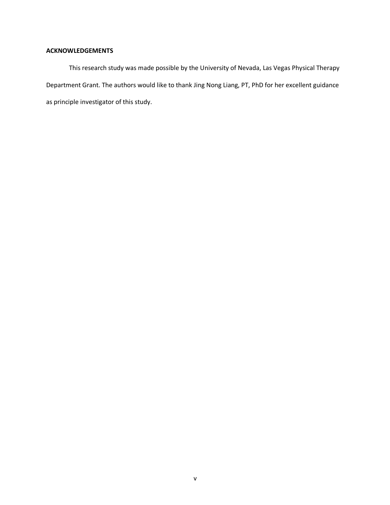## **ACKNOWLEDGEMENTS**

This research study was made possible by the University of Nevada, Las Vegas Physical Therapy Department Grant. The authors would like to thank Jing Nong Liang, PT, PhD for her excellent guidance as principle investigator of this study.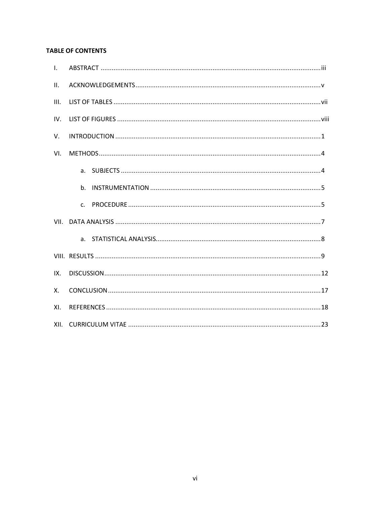# **TABLE OF CONTENTS**

| $\mathbf{L}$ |  |
|--------------|--|
| II.          |  |
| III.         |  |
| IV.          |  |
| V.           |  |
| VI.          |  |
|              |  |
|              |  |
|              |  |
|              |  |
|              |  |
|              |  |
| IX.          |  |
| Χ.           |  |
| XL           |  |
| XII.         |  |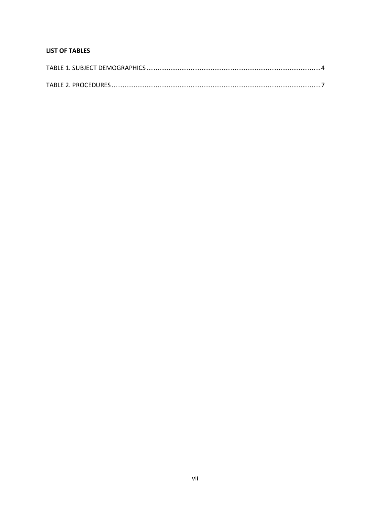# **LIST OF TABLES**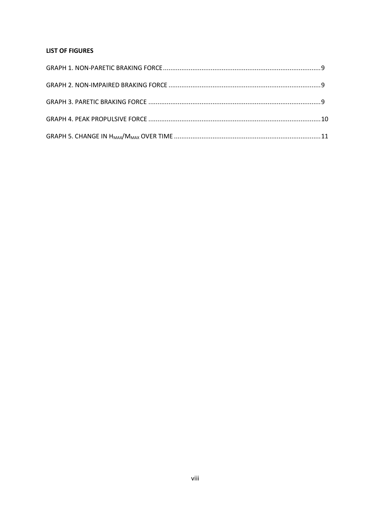## **LIST OF FIGURES**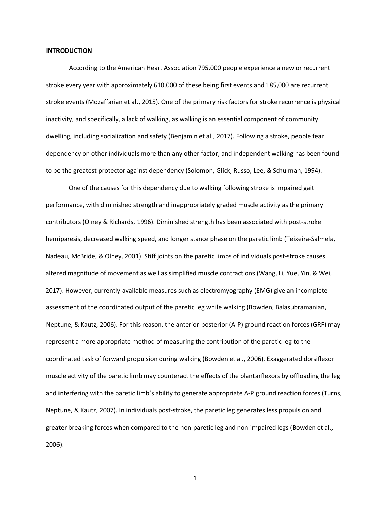#### **INTRODUCTION**

According to the American Heart Association 795,000 people experience a new or recurrent stroke every year with approximately 610,000 of these being first events and 185,000 are recurrent stroke events (Mozaffarian et al., 2015). One of the primary risk factors for stroke recurrence is physical inactivity, and specifically, a lack of walking, as walking is an essential component of community dwelling, including socialization and safety (Benjamin et al., 2017). Following a stroke, people fear dependency on other individuals more than any other factor, and independent walking has been found to be the greatest protector against dependency (Solomon, Glick, Russo, Lee, & Schulman, 1994).

One of the causes for this dependency due to walking following stroke is impaired gait performance, with diminished strength and inappropriately graded muscle activity as the primary contributors (Olney & Richards, 1996). Diminished strength has been associated with post-stroke hemiparesis, decreased walking speed, and longer stance phase on the paretic limb (Teixeira-Salmela, Nadeau, McBride, & Olney, 2001). Stiff joints on the paretic limbs of individuals post-stroke causes altered magnitude of movement as well as simplified muscle contractions (Wang, Li, Yue, Yin, & Wei, 2017). However, currently available measures such as electromyography (EMG) give an incomplete assessment of the coordinated output of the paretic leg while walking (Bowden, Balasubramanian, Neptune, & Kautz, 2006). For this reason, the anterior-posterior (A-P) ground reaction forces (GRF) may represent a more appropriate method of measuring the contribution of the paretic leg to the coordinated task of forward propulsion during walking (Bowden et al., 2006). Exaggerated dorsiflexor muscle activity of the paretic limb may counteract the effects of the plantarflexors by offloading the leg and interfering with the paretic limb's ability to generate appropriate A-P ground reaction forces (Turns, Neptune, & Kautz, 2007). In individuals post-stroke, the paretic leg generates less propulsion and greater breaking forces when compared to the non-paretic leg and non-impaired legs (Bowden et al., 2006).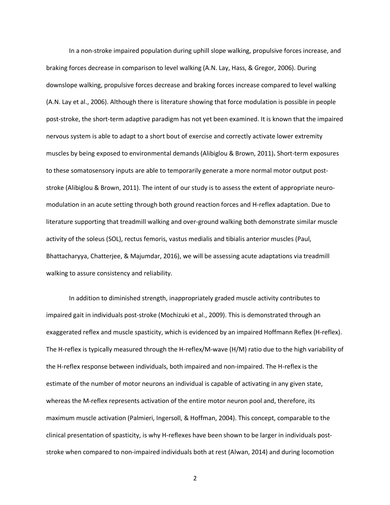In a non-stroke impaired population during uphill slope walking, propulsive forces increase, and braking forces decrease in comparison to level walking (A.N. Lay, Hass, & Gregor, 2006). During downslope walking, propulsive forces decrease and braking forces increase compared to level walking (A.N. Lay et al., 2006). Although there is literature showing that force modulation is possible in people post-stroke, the short-term adaptive paradigm has not yet been examined. It is known that the impaired nervous system is able to adapt to a short bout of exercise and correctly activate lower extremity muscles by being exposed to environmental demands (Alibiglou & Brown, 2011)**.** Short-term exposures to these somatosensory inputs are able to temporarily generate a more normal motor output poststroke (Alibiglou & Brown, 2011). The intent of our study is to assess the extent of appropriate neuromodulation in an acute setting through both ground reaction forces and H-reflex adaptation. Due to literature supporting that treadmill walking and over-ground walking both demonstrate similar muscle activity of the soleus (SOL), rectus femoris, vastus medialis and tibialis anterior muscles (Paul, Bhattacharyya, Chatterjee, & Majumdar, 2016), we will be assessing acute adaptations via treadmill walking to assure consistency and reliability.

In addition to diminished strength, inappropriately graded muscle activity contributes to impaired gait in individuals post-stroke (Mochizuki et al., 2009). This is demonstrated through an exaggerated reflex and muscle spasticity, which is evidenced by an impaired Hoffmann Reflex (H-reflex). The H-reflex is typically measured through the H-reflex/M-wave (H/M) ratio due to the high variability of the H-reflex response between individuals, both impaired and non-impaired. The H-reflex is the estimate of the number of motor neurons an individual is capable of activating in any given state, whereas the M-reflex represents activation of the entire motor neuron pool and, therefore, its maximum muscle activation (Palmieri, Ingersoll, & Hoffman, 2004). This concept, comparable to the clinical presentation of spasticity, is why H-reflexes have been shown to be larger in individuals poststroke when compared to non-impaired individuals both at rest (Alwan, 2014) and during locomotion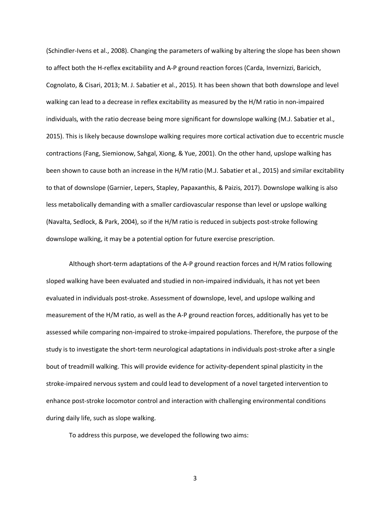(Schindler-Ivens et al., 2008). Changing the parameters of walking by altering the slope has been shown to affect both the H-reflex excitability and A-P ground reaction forces (Carda, Invernizzi, Baricich, Cognolato, & Cisari, 2013; M. J. Sabatier et al., 2015)*.* It has been shown that both downslope and level walking can lead to a decrease in reflex excitability as measured by the H/M ratio in non-impaired individuals, with the ratio decrease being more significant for downslope walking (M.J. Sabatier et al., 2015). This is likely because downslope walking requires more cortical activation due to eccentric muscle contractions (Fang, Siemionow, Sahgal, Xiong, & Yue, 2001). On the other hand, upslope walking has been shown to cause both an increase in the H/M ratio (M.J. Sabatier et al., 2015) and similar excitability to that of downslope (Garnier, Lepers, Stapley, Papaxanthis, & Paizis, 2017). Downslope walking is also less metabolically demanding with a smaller cardiovascular response than level or upslope walking (Navalta, Sedlock, & Park, 2004), so if the H/M ratio is reduced in subjects post-stroke following downslope walking, it may be a potential option for future exercise prescription.

Although short-term adaptations of the A-P ground reaction forces and H/M ratios following sloped walking have been evaluated and studied in non-impaired individuals, it has not yet been evaluated in individuals post-stroke. Assessment of downslope, level, and upslope walking and measurement of the H/M ratio, as well as the A-P ground reaction forces, additionally has yet to be assessed while comparing non-impaired to stroke-impaired populations. Therefore, the purpose of the study is to investigate the short-term neurological adaptations in individuals post-stroke after a single bout of treadmill walking. This will provide evidence for activity-dependent spinal plasticity in the stroke-impaired nervous system and could lead to development of a novel targeted intervention to enhance post-stroke locomotor control and interaction with challenging environmental conditions during daily life, such as slope walking.

To address this purpose, we developed the following two aims: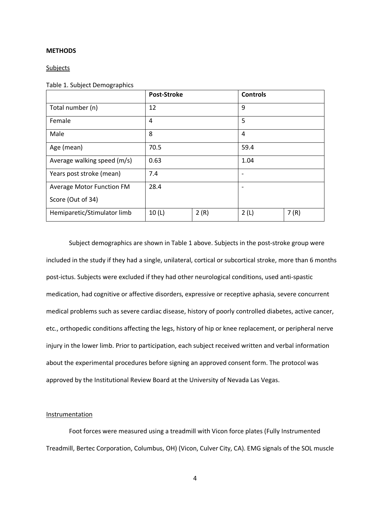#### **METHODS**

Subjects

Table 1. Subject Demographics

|                             | <b>Post-Stroke</b> |      | <b>Controls</b> |      |
|-----------------------------|--------------------|------|-----------------|------|
| Total number (n)            | 12                 |      | 9               |      |
| Female                      | 4                  |      | 5               |      |
| Male                        | 8                  |      | 4               |      |
| Age (mean)                  | 70.5               |      | 59.4            |      |
| Average walking speed (m/s) | 0.63               |      | 1.04            |      |
| Years post stroke (mean)    | 7.4                |      |                 |      |
| Average Motor Function FM   | 28.4               |      |                 |      |
| Score (Out of 34)           |                    |      |                 |      |
| Hemiparetic/Stimulator limb | 10(L)              | 2(R) | 2(L)            | 7(R) |

Subject demographics are shown in Table 1 above. Subjects in the post-stroke group were included in the study if they had a single, unilateral, cortical or subcortical stroke, more than 6 months post-ictus. Subjects were excluded if they had other neurological conditions, used anti-spastic medication, had cognitive or affective disorders, expressive or receptive aphasia, severe concurrent medical problems such as severe cardiac disease, history of poorly controlled diabetes, active cancer, etc., orthopedic conditions affecting the legs, history of hip or knee replacement, or peripheral nerve injury in the lower limb. Prior to participation, each subject received written and verbal information about the experimental procedures before signing an approved consent form. The protocol was approved by the Institutional Review Board at the University of Nevada Las Vegas.

#### Instrumentation

Foot forces were measured using a treadmill with Vicon force plates (Fully Instrumented Treadmill, Bertec Corporation, Columbus, OH) (Vicon, Culver City, CA). EMG signals of the SOL muscle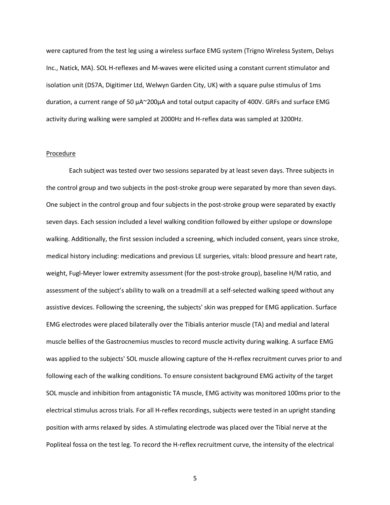were captured from the test leg using a wireless surface EMG system (Trigno Wireless System, Delsys Inc., Natick, MA). SOL H-reflexes and M-waves were elicited using a constant current stimulator and isolation unit (DS7A, Digitimer Ltd, Welwyn Garden City, UK) with a square pulse stimulus of 1ms duration, a current range of 50 μA~200µA and total output capacity of 400V. GRFs and surface EMG activity during walking were sampled at 2000Hz and H-reflex data was sampled at 3200Hz.

#### Procedure

Each subject was tested over two sessions separated by at least seven days. Three subjects in the control group and two subjects in the post-stroke group were separated by more than seven days. One subject in the control group and four subjects in the post-stroke group were separated by exactly seven days. Each session included a level walking condition followed by either upslope or downslope walking. Additionally, the first session included a screening, which included consent, years since stroke, medical history including: medications and previous LE surgeries, vitals: blood pressure and heart rate, weight, Fugl-Meyer lower extremity assessment (for the post-stroke group), baseline H/M ratio, and assessment of the subject's ability to walk on a treadmill at a self-selected walking speed without any assistive devices. Following the screening, the subjects' skin was prepped for EMG application. Surface EMG electrodes were placed bilaterally over the Tibialis anterior muscle (TA) and medial and lateral muscle bellies of the Gastrocnemius muscles to record muscle activity during walking. A surface EMG was applied to the subjects' SOL muscle allowing capture of the H-reflex recruitment curves prior to and following each of the walking conditions. To ensure consistent background EMG activity of the target SOL muscle and inhibition from antagonistic TA muscle, EMG activity was monitored 100ms prior to the electrical stimulus across trials. For all H-reflex recordings, subjects were tested in an upright standing position with arms relaxed by sides. A stimulating electrode was placed over the Tibial nerve at the Popliteal fossa on the test leg. To record the H-reflex recruitment curve, the intensity of the electrical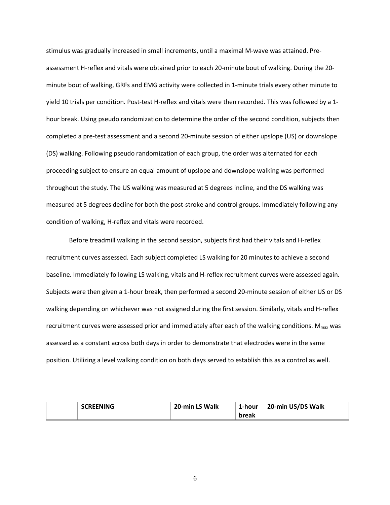stimulus was gradually increased in small increments, until a maximal M-wave was attained. Preassessment H-reflex and vitals were obtained prior to each 20-minute bout of walking. During the 20 minute bout of walking, GRFs and EMG activity were collected in 1-minute trials every other minute to yield 10 trials per condition. Post-test H-reflex and vitals were then recorded. This was followed by a 1 hour break. Using pseudo randomization to determine the order of the second condition, subjects then completed a pre-test assessment and a second 20-minute session of either upslope (US) or downslope (DS) walking. Following pseudo randomization of each group, the order was alternated for each proceeding subject to ensure an equal amount of upslope and downslope walking was performed throughout the study. The US walking was measured at 5 degrees incline, and the DS walking was measured at 5 degrees decline for both the post-stroke and control groups. Immediately following any condition of walking, H-reflex and vitals were recorded.

Before treadmill walking in the second session, subjects first had their vitals and H-reflex recruitment curves assessed. Each subject completed LS walking for 20 minutes to achieve a second baseline. Immediately following LS walking, vitals and H-reflex recruitment curves were assessed again. Subjects were then given a 1-hour break, then performed a second 20-minute session of either US or DS walking depending on whichever was not assigned during the first session. Similarly, vitals and H-reflex recruitment curves were assessed prior and immediately after each of the walking conditions. M<sub>max</sub> was assessed as a constant across both days in order to demonstrate that electrodes were in the same position. Utilizing a level walking condition on both days served to establish this as a control as well.

| <b>SCREENING</b> | 20-min LS Walk | 1-hour | 20-min US/DS Walk |
|------------------|----------------|--------|-------------------|
|                  |                | break  |                   |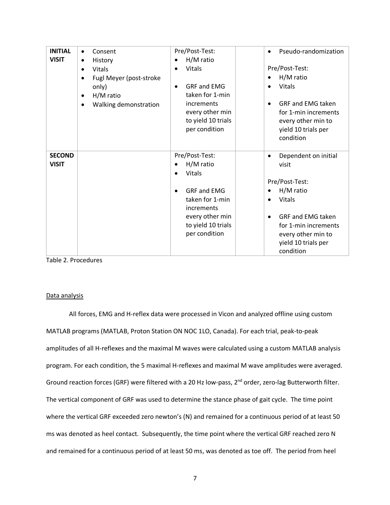| <b>INITIAL</b><br><b>VISIT</b> | Consent<br>٠<br>History<br>٠<br>Vitals<br>$\bullet$<br>Fugl Meyer (post-stroke<br>$\bullet$<br>only)<br>H/M ratio<br>٠<br>Walking demonstration<br>$\bullet$ | Pre/Post-Test:<br>H/M ratio<br>$\bullet$<br>Vitals<br><b>GRF and EMG</b><br>$\bullet$<br>taken for 1-min<br>increments<br>every other min<br>to yield 10 trials<br>per condition              | Pseudo-randomization<br>Pre/Post-Test:<br>H/M ratio<br>Vitals<br>$\bullet$<br><b>GRF and EMG taken</b><br>$\bullet$<br>for 1-min increments<br>every other min to<br>yield 10 trials per<br>condition                                           |
|--------------------------------|--------------------------------------------------------------------------------------------------------------------------------------------------------------|-----------------------------------------------------------------------------------------------------------------------------------------------------------------------------------------------|-------------------------------------------------------------------------------------------------------------------------------------------------------------------------------------------------------------------------------------------------|
| <b>SECOND</b><br><b>VISIT</b>  |                                                                                                                                                              | Pre/Post-Test:<br>H/M ratio<br>$\bullet$<br>Vitals<br>$\bullet$<br><b>GRF and EMG</b><br>$\bullet$<br>taken for 1-min<br>increments<br>every other min<br>to yield 10 trials<br>per condition | Dependent on initial<br>$\bullet$<br>visit<br>Pre/Post-Test:<br>H/M ratio<br>$\bullet$<br><b>Vitals</b><br>$\bullet$<br><b>GRF and EMG taken</b><br>$\bullet$<br>for 1-min increments<br>every other min to<br>yield 10 trials per<br>condition |

Table 2. Procedures

#### Data analysis

All forces, EMG and H-reflex data were processed in Vicon and analyzed offline using custom MATLAB programs (MATLAB, Proton Station ON NOC 1LO, Canada). For each trial, peak-to-peak amplitudes of all H-reflexes and the maximal M waves were calculated using a custom MATLAB analysis program. For each condition, the 5 maximal H-reflexes and maximal M wave amplitudes were averaged. Ground reaction forces (GRF) were filtered with a 20 Hz low-pass, 2<sup>nd</sup> order, zero-lag Butterworth filter. The vertical component of GRF was used to determine the stance phase of gait cycle. The time point where the vertical GRF exceeded zero newton's (N) and remained for a continuous period of at least 50 ms was denoted as heel contact. Subsequently, the time point where the vertical GRF reached zero N and remained for a continuous period of at least 50 ms, was denoted as toe off. The period from heel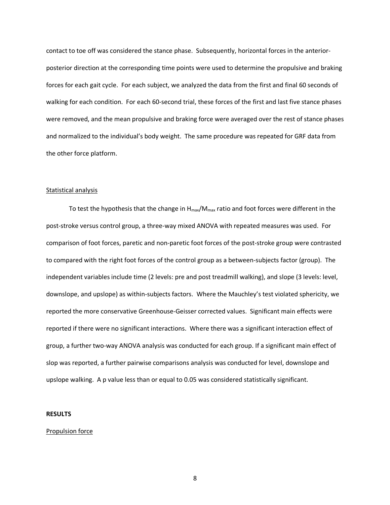contact to toe off was considered the stance phase. Subsequently, horizontal forces in the anteriorposterior direction at the corresponding time points were used to determine the propulsive and braking forces for each gait cycle. For each subject, we analyzed the data from the first and final 60 seconds of walking for each condition. For each 60-second trial, these forces of the first and last five stance phases were removed, and the mean propulsive and braking force were averaged over the rest of stance phases and normalized to the individual's body weight. The same procedure was repeated for GRF data from the other force platform.

#### Statistical analysis

To test the hypothesis that the change in  $H_{max}/M_{max}$  ratio and foot forces were different in the post-stroke versus control group, a three-way mixed ANOVA with repeated measures was used. For comparison of foot forces, paretic and non-paretic foot forces of the post-stroke group were contrasted to compared with the right foot forces of the control group as a between-subjects factor (group). The independent variables include time (2 levels: pre and post treadmill walking), and slope (3 levels: level, downslope, and upslope) as within-subjects factors. Where the Mauchley's test violated sphericity, we reported the more conservative Greenhouse-Geisser corrected values. Significant main effects were reported if there were no significant interactions. Where there was a significant interaction effect of group, a further two-way ANOVA analysis was conducted for each group. If a significant main effect of slop was reported, a further pairwise comparisons analysis was conducted for level, downslope and upslope walking. A p value less than or equal to 0.05 was considered statistically significant.

#### **RESULTS**

#### Propulsion force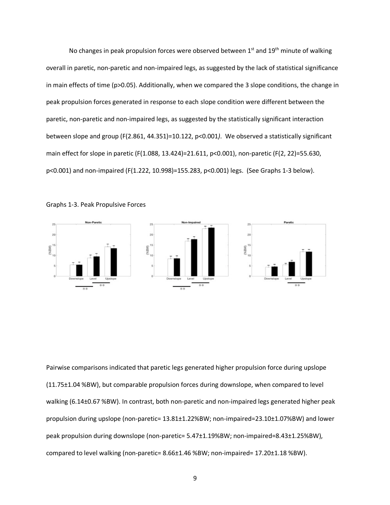No changes in peak propulsion forces were observed between  $1<sup>st</sup>$  and  $19<sup>th</sup>$  minute of walking overall in paretic, non-paretic and non-impaired legs, as suggested by the lack of statistical significance in main effects of time (p>0.05). Additionally, when we compared the 3 slope conditions, the change in peak propulsion forces generated in response to each slope condition were different between the paretic, non-paretic and non-impaired legs, as suggested by the statistically significant interaction between slope and group (F(2.861, 44.351)=10.122, p<0.001*)*. We observed a statistically significant main effect for slope in paretic (F(1.088, 13.424)=21.611, p<0.001), non-paretic (F(2, 22)=55.630, p<0.001) and non-impaired (F(1.222, 10.998)=155.283, p<0.001) legs. (See Graphs 1-3 below).





Pairwise comparisons indicated that paretic legs generated higher propulsion force during upslope (11.75±1.04 %BW), but comparable propulsion forces during downslope, when compared to level walking (6.14±0.67 %BW). In contrast, both non-paretic and non-impaired legs generated higher peak propulsion during upslope (non-paretic= 13.81±1.22%BW; non-impaired=23.10±1.07%BW) and lower peak propulsion during downslope (non-paretic= 5.47±1.19%BW; non-impaired=8.43±1.25%BW), compared to level walking (non-paretic= 8.66±1.46 %BW; non-impaired= 17.20±1.18 %BW).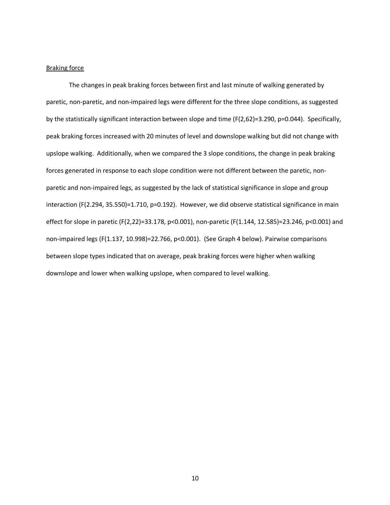#### Braking force

The changes in peak braking forces between first and last minute of walking generated by paretic, non-paretic, and non-impaired legs were different for the three slope conditions, as suggested by the statistically significant interaction between slope and time (F(2,62)=3.290, p=0.044). Specifically, peak braking forces increased with 20 minutes of level and downslope walking but did not change with upslope walking. Additionally, when we compared the 3 slope conditions, the change in peak braking forces generated in response to each slope condition were not different between the paretic, nonparetic and non-impaired legs, as suggested by the lack of statistical significance in slope and group interaction (F(2.294, 35.550)=1.710, p=0.192). However, we did observe statistical significance in main effect for slope in paretic (F(2,22)=33.178, p<0.001), non-paretic (F(1.144, 12.585)=23.246, p<0.001) and non-impaired legs (F(1.137, 10.998)=22.766, p<0.001). (See Graph 4 below). Pairwise comparisons between slope types indicated that on average, peak braking forces were higher when walking downslope and lower when walking upslope, when compared to level walking.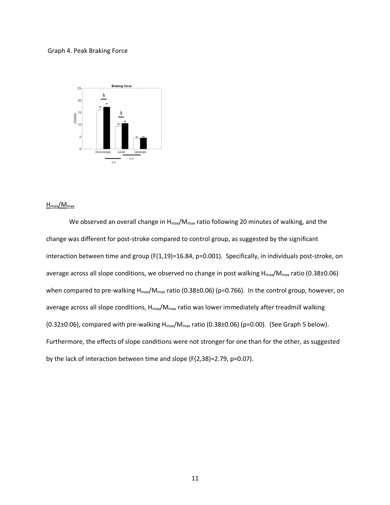#### Graph 4. Peak Braking Force



#### $H_{max}/M_{max}$

We observed an overall change in H<sub>max</sub>/M<sub>max</sub> ratio following 20 minutes of walking, and the change was different for post-stroke compared to control group, as suggested by the significant interaction between time and group (F(1,19)=16.84, p=0.001). Specifically, in individuals post-stroke, on average across all slope conditions, we observed no change in post walking H<sub>max</sub>/M<sub>max</sub> ratio (0.38±0.06) when compared to pre-walking  $H_{max}/M_{max}$  ratio (0.38±0.06) (p=0.766). In the control group, however, on average across all slope conditions, H<sub>max</sub>/M<sub>max</sub> ratio was lower immediately after treadmill walking (0.32 $\pm$ 0.06), compared with pre-walking  $H_{\text{max}}/M_{\text{max}}$  ratio (0.38 $\pm$ 0.06) (p=0.00). (See Graph 5 below). Furthermore, the effects of slope conditions were not stronger for one than for the other, as suggested by the lack of interaction between time and slope (F(2,38)=2.79, p=0.07).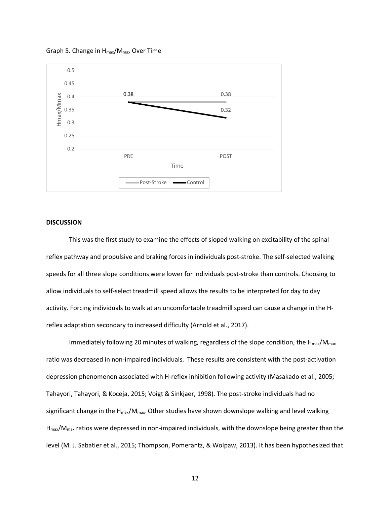

Graph 5. Change in  $H_{\text{max}}/M_{\text{max}}$  Over Time

#### **DISCUSSION**

This was the first study to examine the effects of sloped walking on excitability of the spinal reflex pathway and propulsive and braking forces in individuals post-stroke. The self-selected walking speeds for all three slope conditions were lower for individuals post-stroke than controls. Choosing to allow individuals to self-select treadmill speed allows the results to be interpreted for day to day activity. Forcing individuals to walk at an uncomfortable treadmill speed can cause a change in the Hreflex adaptation secondary to increased difficulty (Arnold et al., 2017).

Immediately following 20 minutes of walking, regardless of the slope condition, the H<sub>max</sub>/M<sub>max</sub> ratio was decreased in non-impaired individuals. These results are consistent with the post-activation depression phenomenon associated with H-reflex inhibition following activity (Masakado et al., 2005; Tahayori, Tahayori, & Koceja, 2015; Voigt & Sinkjaer, 1998). The post-stroke individuals had no significant change in the  $H_{\text{max}}/M_{\text{max}}$ . Other studies have shown downslope walking and level walking Hmax/Mmax ratios were depressed in non-impaired individuals, with the downslope being greater than the level (M. J. Sabatier et al., 2015; Thompson, Pomerantz, & Wolpaw, 2013). It has been hypothesized that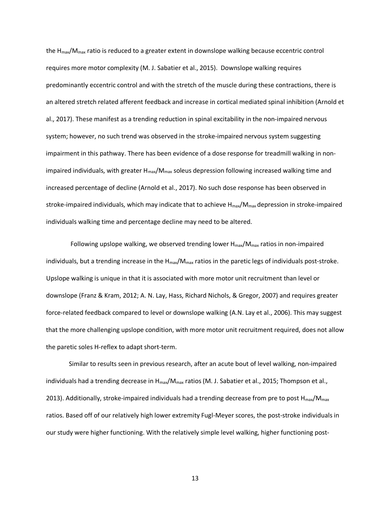the  $H_{\text{max}}/M_{\text{max}}$  ratio is reduced to a greater extent in downslope walking because eccentric control requires more motor complexity (M. J. Sabatier et al., 2015). Downslope walking requires predominantly eccentric control and with the stretch of the muscle during these contractions, there is an altered stretch related afferent feedback and increase in cortical mediated spinal inhibition (Arnold et al., 2017). These manifest as a trending reduction in spinal excitability in the non-impaired nervous system; however, no such trend was observed in the stroke-impaired nervous system suggesting impairment in this pathway. There has been evidence of a dose response for treadmill walking in nonimpaired individuals, with greater  $H_{max}/M_{max}$  soleus depression following increased walking time and increased percentage of decline (Arnold et al., 2017). No such dose response has been observed in stroke-impaired individuals, which may indicate that to achieve  $H_{\text{max}}/M_{\text{max}}$  depression in stroke-impaired individuals walking time and percentage decline may need to be altered.

Following upslope walking, we observed trending lower  $H_{\text{max}}/M_{\text{max}}$  ratios in non-impaired individuals, but a trending increase in the  $H_{\text{max}}/M_{\text{max}}$  ratios in the paretic legs of individuals post-stroke. Upslope walking is unique in that it is associated with more motor unit recruitment than level or downslope (Franz & Kram, 2012; A. N. Lay, Hass, Richard Nichols, & Gregor, 2007) and requires greater force-related feedback compared to level or downslope walking (A.N. Lay et al., 2006). This may suggest that the more challenging upslope condition, with more motor unit recruitment required, does not allow the paretic soles H-reflex to adapt short-term.

Similar to results seen in previous research, after an acute bout of level walking, non-impaired individuals had a trending decrease in  $H_{max}/M_{max}$  ratios (M. J. Sabatier et al., 2015; Thompson et al., 2013). Additionally, stroke-impaired individuals had a trending decrease from pre to post  $H_{max}/M_{max}$ ratios. Based off of our relatively high lower extremity Fugl-Meyer scores, the post-stroke individuals in our study were higher functioning. With the relatively simple level walking, higher functioning post-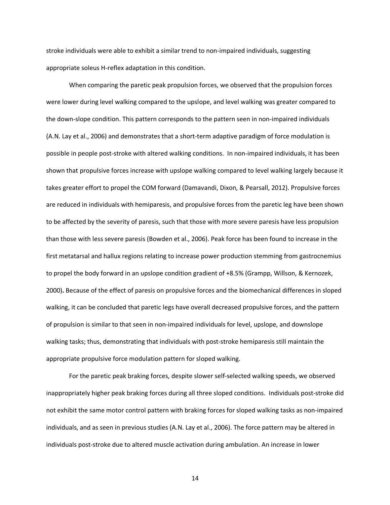stroke individuals were able to exhibit a similar trend to non-impaired individuals, suggesting appropriate soleus H-reflex adaptation in this condition.

When comparing the paretic peak propulsion forces, we observed that the propulsion forces were lower during level walking compared to the upslope, and level walking was greater compared to the down-slope condition. This pattern corresponds to the pattern seen in non-impaired individuals (A.N. Lay et al., 2006) and demonstrates that a short-term adaptive paradigm of force modulation is possible in people post-stroke with altered walking conditions. In non-impaired individuals, it has been shown that propulsive forces increase with upslope walking compared to level walking largely because it takes greater effort to propel the COM forward (Damavandi, Dixon, & Pearsall, 2012). Propulsive forces are reduced in individuals with hemiparesis, and propulsive forces from the paretic leg have been shown to be affected by the severity of paresis, such that those with more severe paresis have less propulsion than those with less severe paresis (Bowden et al., 2006). Peak force has been found to increase in the first metatarsal and hallux regions relating to increase power production stemming from gastrocnemius to propel the body forward in an upslope condition gradient of +8.5% (Grampp, Willson, & Kernozek, 2000)**.** Because of the effect of paresis on propulsive forces and the biomechanical differences in sloped walking, it can be concluded that paretic legs have overall decreased propulsive forces, and the pattern of propulsion is similar to that seen in non-impaired individuals for level, upslope, and downslope walking tasks; thus, demonstrating that individuals with post-stroke hemiparesis still maintain the appropriate propulsive force modulation pattern for sloped walking.

For the paretic peak braking forces, despite slower self-selected walking speeds, we observed inappropriately higher peak braking forces during all three sloped conditions. Individuals post-stroke did not exhibit the same motor control pattern with braking forces for sloped walking tasks as non-impaired individuals, and as seen in previous studies (A.N. Lay et al., 2006). The force pattern may be altered in individuals post-stroke due to altered muscle activation during ambulation. An increase in lower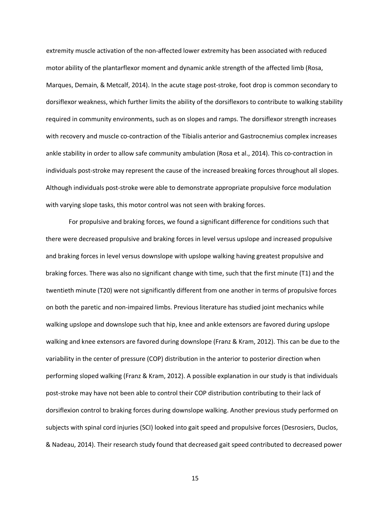extremity muscle activation of the non-affected lower extremity has been associated with reduced motor ability of the plantarflexor moment and dynamic ankle strength of the affected limb (Rosa, Marques, Demain, & Metcalf, 2014). In the acute stage post-stroke, foot drop is common secondary to dorsiflexor weakness, which further limits the ability of the dorsiflexors to contribute to walking stability required in community environments, such as on slopes and ramps. The dorsiflexor strength increases with recovery and muscle co-contraction of the Tibialis anterior and Gastrocnemius complex increases ankle stability in order to allow safe community ambulation (Rosa et al., 2014). This co-contraction in individuals post-stroke may represent the cause of the increased breaking forces throughout all slopes. Although individuals post-stroke were able to demonstrate appropriate propulsive force modulation with varying slope tasks, this motor control was not seen with braking forces.

For propulsive and braking forces, we found a significant difference for conditions such that there were decreased propulsive and braking forces in level versus upslope and increased propulsive and braking forces in level versus downslope with upslope walking having greatest propulsive and braking forces. There was also no significant change with time, such that the first minute (T1) and the twentieth minute (T20) were not significantly different from one another in terms of propulsive forces on both the paretic and non-impaired limbs. Previous literature has studied joint mechanics while walking upslope and downslope such that hip, knee and ankle extensors are favored during upslope walking and knee extensors are favored during downslope (Franz & Kram, 2012). This can be due to the variability in the center of pressure (COP) distribution in the anterior to posterior direction when performing sloped walking (Franz & Kram, 2012). A possible explanation in our study is that individuals post-stroke may have not been able to control their COP distribution contributing to their lack of dorsiflexion control to braking forces during downslope walking. Another previous study performed on subjects with spinal cord injuries (SCI) looked into gait speed and propulsive forces (Desrosiers, Duclos, & Nadeau, 2014). Their research study found that decreased gait speed contributed to decreased power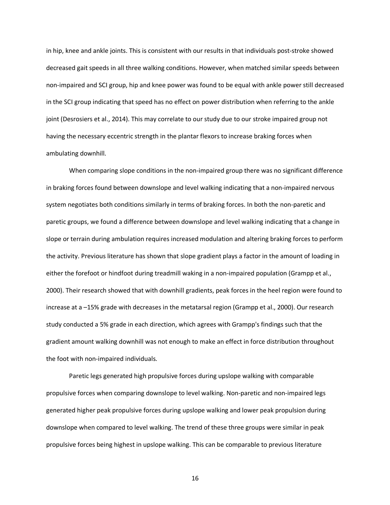in hip, knee and ankle joints. This is consistent with our results in that individuals post-stroke showed decreased gait speeds in all three walking conditions. However, when matched similar speeds between non-impaired and SCI group, hip and knee power was found to be equal with ankle power still decreased in the SCI group indicating that speed has no effect on power distribution when referring to the ankle joint (Desrosiers et al., 2014). This may correlate to our study due to our stroke impaired group not having the necessary eccentric strength in the plantar flexors to increase braking forces when ambulating downhill.

When comparing slope conditions in the non-impaired group there was no significant difference in braking forces found between downslope and level walking indicating that a non-impaired nervous system negotiates both conditions similarly in terms of braking forces. In both the non-paretic and paretic groups, we found a difference between downslope and level walking indicating that a change in slope or terrain during ambulation requires increased modulation and altering braking forces to perform the activity. Previous literature has shown that slope gradient plays a factor in the amount of loading in either the forefoot or hindfoot during treadmill waking in a non-impaired population (Grampp et al., 2000). Their research showed that with downhill gradients, peak forces in the heel region were found to increase at a –15% grade with decreases in the metatarsal region (Grampp et al., 2000). Our research study conducted a 5% grade in each direction, which agrees with Grampp's findings such that the gradient amount walking downhill was not enough to make an effect in force distribution throughout the foot with non-impaired individuals.

Paretic legs generated high propulsive forces during upslope walking with comparable propulsive forces when comparing downslope to level walking. Non-paretic and non-impaired legs generated higher peak propulsive forces during upslope walking and lower peak propulsion during downslope when compared to level walking. The trend of these three groups were similar in peak propulsive forces being highest in upslope walking. This can be comparable to previous literature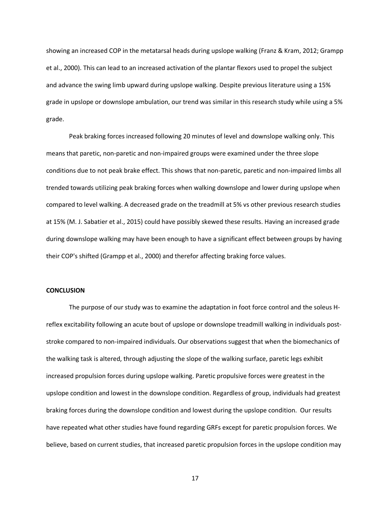showing an increased COP in the metatarsal heads during upslope walking (Franz & Kram, 2012; Grampp et al., 2000). This can lead to an increased activation of the plantar flexors used to propel the subject and advance the swing limb upward during upslope walking. Despite previous literature using a 15% grade in upslope or downslope ambulation, our trend was similar in this research study while using a 5% grade.

Peak braking forces increased following 20 minutes of level and downslope walking only. This means that paretic, non-paretic and non-impaired groups were examined under the three slope conditions due to not peak brake effect. This shows that non-paretic, paretic and non-impaired limbs all trended towards utilizing peak braking forces when walking downslope and lower during upslope when compared to level walking. A decreased grade on the treadmill at 5% vs other previous research studies at 15% (M. J. Sabatier et al., 2015) could have possibly skewed these results. Having an increased grade during downslope walking may have been enough to have a significant effect between groups by having their COP's shifted (Grampp et al., 2000) and therefor affecting braking force values.

#### **CONCLUSION**

The purpose of our study was to examine the adaptation in foot force control and the soleus Hreflex excitability following an acute bout of upslope or downslope treadmill walking in individuals poststroke compared to non-impaired individuals. Our observations suggest that when the biomechanics of the walking task is altered, through adjusting the slope of the walking surface, paretic legs exhibit increased propulsion forces during upslope walking. Paretic propulsive forces were greatest in the upslope condition and lowest in the downslope condition. Regardless of group, individuals had greatest braking forces during the downslope condition and lowest during the upslope condition. Our results have repeated what other studies have found regarding GRFs except for paretic propulsion forces. We believe, based on current studies, that increased paretic propulsion forces in the upslope condition may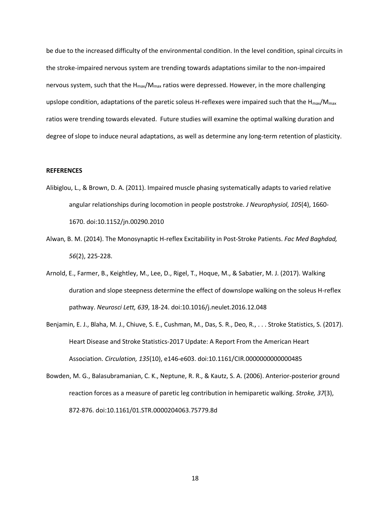be due to the increased difficulty of the environmental condition. In the level condition, spinal circuits in the stroke-impaired nervous system are trending towards adaptations similar to the non-impaired nervous system, such that the  $H_{max}/M_{max}$  ratios were depressed. However, in the more challenging upslope condition, adaptations of the paretic soleus H-reflexes were impaired such that the H $_{max}/M_{max}$ ratios were trending towards elevated. Future studies will examine the optimal walking duration and degree of slope to induce neural adaptations, as well as determine any long-term retention of plasticity.

#### **REFERENCES**

- Alibiglou, L., & Brown, D. A. (2011). Impaired muscle phasing systematically adapts to varied relative angular relationships during locomotion in people poststroke. *J Neurophysiol, 105*(4), 1660- 1670. doi:10.1152/jn.00290.2010
- Alwan, B. M. (2014). The Monosynaptic H-reflex Excitability in Post-Stroke Patients. *Fac Med Baghdad, 56*(2), 225-228.
- Arnold, E., Farmer, B., Keightley, M., Lee, D., Rigel, T., Hoque, M., & Sabatier, M. J. (2017). Walking duration and slope steepness determine the effect of downslope walking on the soleus H-reflex pathway. *Neurosci Lett, 639*, 18-24. doi:10.1016/j.neulet.2016.12.048
- Benjamin, E. J., Blaha, M. J., Chiuve, S. E., Cushman, M., Das, S. R., Deo, R., . . . Stroke Statistics, S. (2017). Heart Disease and Stroke Statistics-2017 Update: A Report From the American Heart Association. *Circulation, 135*(10), e146-e603. doi:10.1161/CIR.0000000000000485
- Bowden, M. G., Balasubramanian, C. K., Neptune, R. R., & Kautz, S. A. (2006). Anterior-posterior ground reaction forces as a measure of paretic leg contribution in hemiparetic walking. *Stroke, 37*(3), 872-876. doi:10.1161/01.STR.0000204063.75779.8d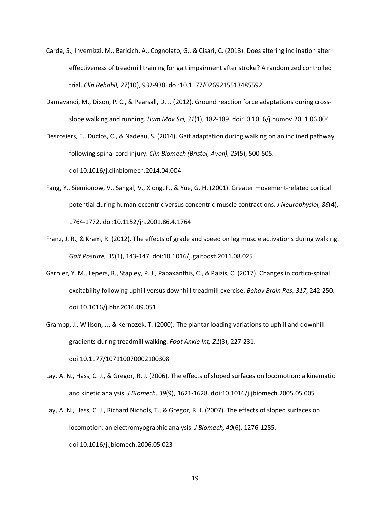- Carda, S., Invernizzi, M., Baricich, A., Cognolato, G., & Cisari, C. (2013). Does altering inclination alter effectiveness of treadmill training for gait impairment after stroke? A randomized controlled trial. *Clin Rehabil, 27*(10), 932-938. doi:10.1177/0269215513485592
- Damavandi, M., Dixon, P. C., & Pearsall, D. J. (2012). Ground reaction force adaptations during crossslope walking and running. *Hum Mov Sci, 31*(1), 182-189. doi:10.1016/j.humov.2011.06.004

Desrosiers, E., Duclos, C., & Nadeau, S. (2014). Gait adaptation during walking on an inclined pathway following spinal cord injury. *Clin Biomech (Bristol, Avon), 29*(5), 500-505. doi:10.1016/j.clinbiomech.2014.04.004

- Fang, Y., Siemionow, V., Sahgal, V., Xiong, F., & Yue, G. H. (2001). Greater movement-related cortical potential during human eccentric versus concentric muscle contractions. *J Neurophysiol, 86*(4), 1764-1772. doi:10.1152/jn.2001.86.4.1764
- Franz, J. R., & Kram, R. (2012). The effects of grade and speed on leg muscle activations during walking. *Gait Posture, 35*(1), 143-147. doi:10.1016/j.gaitpost.2011.08.025
- Garnier, Y. M., Lepers, R., Stapley, P. J., Papaxanthis, C., & Paizis, C. (2017). Changes in cortico-spinal excitability following uphill versus downhill treadmill exercise. *Behav Brain Res, 317*, 242-250. doi:10.1016/j.bbr.2016.09.051
- Grampp, J., Willson, J., & Kernozek, T. (2000). The plantar loading variations to uphill and downhill gradients during treadmill walking. *Foot Ankle Int, 21*(3), 227-231. doi:10.1177/107110070002100308
- Lay, A. N., Hass, C. J., & Gregor, R. J. (2006). The effects of sloped surfaces on locomotion: a kinematic and kinetic analysis. *J Biomech, 39*(9), 1621-1628. doi:10.1016/j.jbiomech.2005.05.005
- Lay, A. N., Hass, C. J., Richard Nichols, T., & Gregor, R. J. (2007). The effects of sloped surfaces on locomotion: an electromyographic analysis. *J Biomech, 40*(6), 1276-1285. doi:10.1016/j.jbiomech.2006.05.023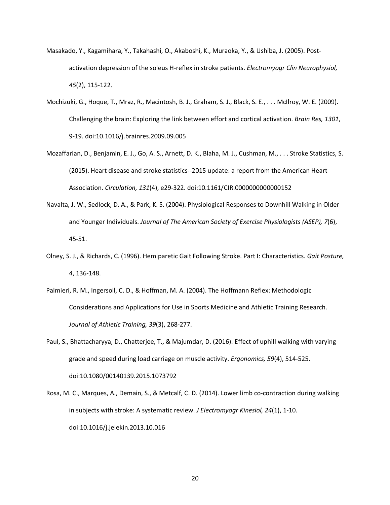- Masakado, Y., Kagamihara, Y., Takahashi, O., Akaboshi, K., Muraoka, Y., & Ushiba, J. (2005). Postactivation depression of the soleus H-reflex in stroke patients. *Electromyogr Clin Neurophysiol, 45*(2), 115-122.
- Mochizuki, G., Hoque, T., Mraz, R., Macintosh, B. J., Graham, S. J., Black, S. E., . . . McIlroy, W. E. (2009). Challenging the brain: Exploring the link between effort and cortical activation. *Brain Res, 1301*, 9-19. doi:10.1016/j.brainres.2009.09.005
- Mozaffarian, D., Benjamin, E. J., Go, A. S., Arnett, D. K., Blaha, M. J., Cushman, M., . . . Stroke Statistics, S. (2015). Heart disease and stroke statistics--2015 update: a report from the American Heart Association. *Circulation, 131*(4), e29-322. doi:10.1161/CIR.0000000000000152
- Navalta, J. W., Sedlock, D. A., & Park, K. S. (2004). Physiological Responses to Downhill Walking in Older and Younger Individuals. *Journal of The American Society of Exercise Physiologists (ASEP), 7*(6), 45-51.
- Olney, S. J., & Richards, C. (1996). Hemiparetic Gait Following Stroke. Part I: Characteristics. *Gait Posture, 4*, 136-148.
- Palmieri, R. M., Ingersoll, C. D., & Hoffman, M. A. (2004). The Hoffmann Reflex: Methodologic Considerations and Applications for Use in Sports Medicine and Athletic Training Research. *Journal of Athletic Training, 39*(3), 268-277.
- Paul, S., Bhattacharyya, D., Chatterjee, T., & Majumdar, D. (2016). Effect of uphill walking with varying grade and speed during load carriage on muscle activity. *Ergonomics, 59*(4), 514-525. doi:10.1080/00140139.2015.1073792
- Rosa, M. C., Marques, A., Demain, S., & Metcalf, C. D. (2014). Lower limb co-contraction during walking in subjects with stroke: A systematic review. *J Electromyogr Kinesiol, 24*(1), 1-10. doi:10.1016/j.jelekin.2013.10.016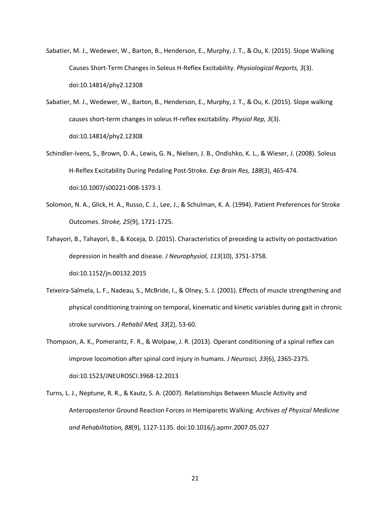- Sabatier, M. J., Wedewer, W., Barton, B., Henderson, E., Murphy, J. T., & Ou, K. (2015). Slope Walking Causes Short-Term Changes in Soleus H-Reflex Excitability. *Physiological Reports, 3*(3). doi:10.14814/phy2.12308
- Sabatier, M. J., Wedewer, W., Barton, B., Henderson, E., Murphy, J. T., & Ou, K. (2015). Slope walking causes short-term changes in soleus H-reflex excitability. *Physiol Rep, 3*(3). doi:10.14814/phy2.12308
- Schindler-Ivens, S., Brown, D. A., Lewis, G. N., Nielsen, J. B., Ondishko, K. L., & Wieser, J. (2008). Soleus H-Reflex Excitability During Pedaling Post-Stroke. *Exp Brain Res, 188*(3), 465-474. doi:10.1007/s00221-008-1373-1
- Solomon, N. A., Glick, H. A., Russo, C. J., Lee, J., & Schulman, K. A. (1994). Patient Preferences for Stroke Outcomes. *Stroke, 25*(9), 1721-1725.
- Tahayori, B., Tahayori, B., & Koceja, D. (2015). Characteristics of preceding Ia activity on postactivation depression in health and disease. *J Neurophysiol, 113*(10), 3751-3758. doi:10.1152/jn.00132.2015
- Teixeira-Salmela, L. F., Nadeau, S., McBride, I., & Olney, S. J. (2001). Effects of muscle strengthening and physical conditioning training on temporal, kinematic and kinetic variables during gait in chronic stroke survivors. *J Rehabil Med, 33*(2), 53-60.
- Thompson, A. K., Pomerantz, F. R., & Wolpaw, J. R. (2013). Operant conditioning of a spinal reflex can improve locomotion after spinal cord injury in humans. *J Neurosci, 33*(6), 2365-2375. doi:10.1523/JNEUROSCI.3968-12.2013
- Turns, L. J., Neptune, R. R., & Kautz, S. A. (2007). Relationships Between Muscle Activity and Anteroposterior Ground Reaction Forces in Hemiparetic Walking. *Archives of Physical Medicine and Rehabilitation, 88*(9), 1127-1135. doi:10.1016/j.apmr.2007.05.027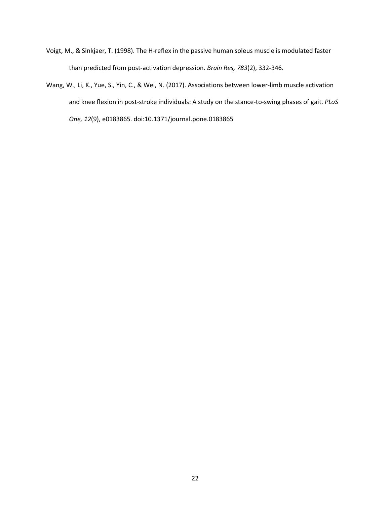- Voigt, M., & Sinkjaer, T. (1998). The H-reflex in the passive human soleus muscle is modulated faster than predicted from post-activation depression. *Brain Res, 783*(2), 332-346.
- Wang, W., Li, K., Yue, S., Yin, C., & Wei, N. (2017). Associations between lower-limb muscle activation and knee flexion in post-stroke individuals: A study on the stance-to-swing phases of gait. *PLoS One, 12*(9), e0183865. doi:10.1371/journal.pone.0183865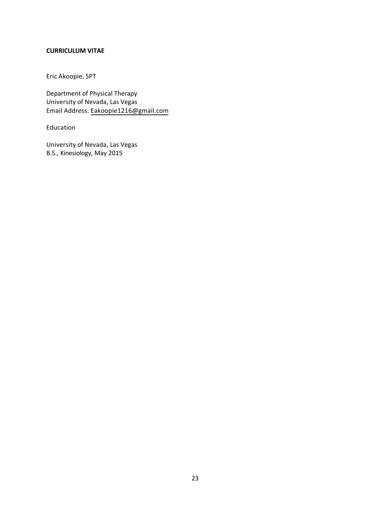#### **CURRICULUM VITAE**

Eric Akoopie, SPT

Department of Physical Therapy University of Nevada, Las Vegas Email Address: Eakoopie1216@gmail.com

Education

University of Nevada, Las Vegas B.S., Kinesiology, May 2015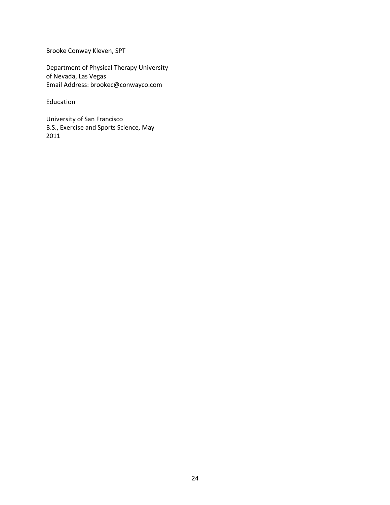Brooke Conway Kleven, SPT

Department of Physical Therapy University of Nevada, Las Vegas Email Address: brookec@conwayco.com

Education

University of San Francisco B.S., Exercise and Sports Science, May 2011